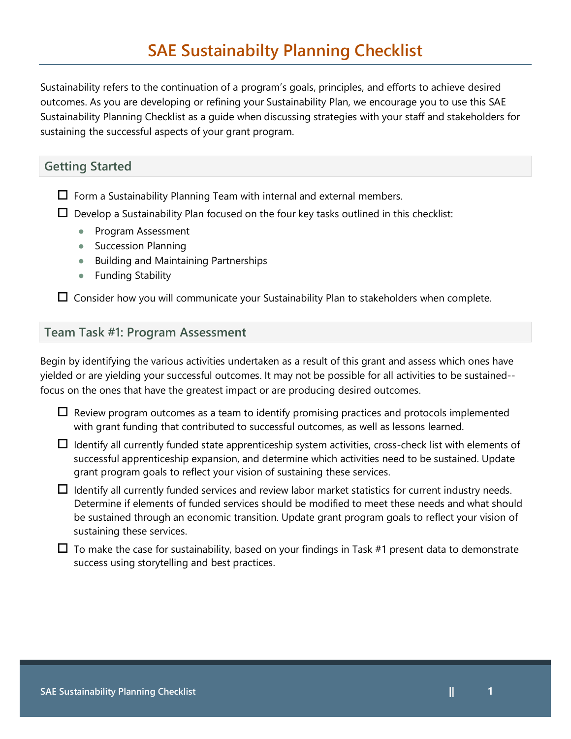Sustainability Planning Checklist as a guide when discussing strategies with your staff and stakeholders for Sustainability refers to the continuation of a program's goals, principles, and efforts to achieve desired outcomes. As you are developing or refining your Sustainability Plan, we encourage you to use this SAE sustaining the successful aspects of your grant program.

## **Getting Started**

 $\Box$  Form a Sustainability Planning Team with internal and external members.

 $\square$  Develop a Sustainability Plan focused on the four key tasks outlined in this checklist:

- Program Assessment
- Succession Planning
- Building and Maintaining Partnerships
- Funding Stability

 $\Box$  Consider how you will communicate your Sustainability Plan to stakeholders when complete.

# **Team Task #1: Program Assessment**

 focus on the ones that have the greatest impact or are producing desired outcomes. Begin by identifying the various activities undertaken as a result of this grant and assess which ones have yielded or are yielding your successful outcomes. It may not be possible for all activities to be sustained--

 $\Box$  Review program outcomes as a team to identify promising practices and protocols implemented with grant funding that contributed to successful outcomes, as well as lessons learned.

 $\Box$  Identify all currently funded state apprenticeship system activities, cross-check list with elements of successful apprenticeship expansion, and determine which activities need to be sustained. Update grant program goals to reflect your vision of sustaining these services.

 Determine if elements of funded services should be modified to meet these needs and what should  $\Box$  Identify all currently funded services and review labor market statistics for current industry needs. be sustained through an economic transition. Update grant program goals to reflect your vision of sustaining these services.

 $\Box$  To make the case for sustainability, based on your findings in Task #1 present data to demonstrate success using storytelling and best practices.